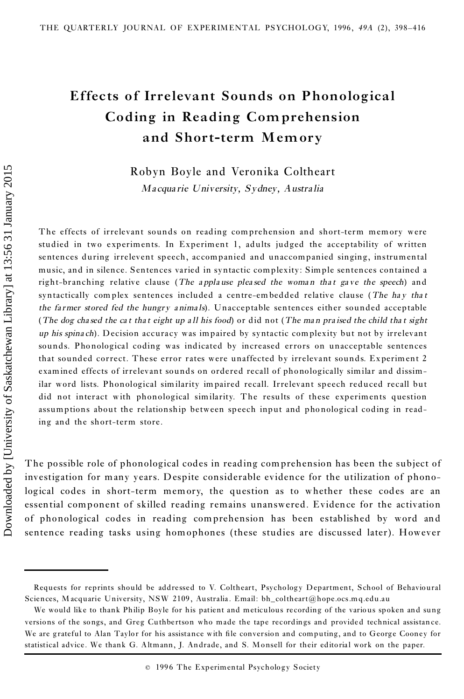# **Effects of Irrelevant Sounds on Phonological Coding in Reading Com prehension and Short-term Memory**

Robyn Boyle and Veronika Coltheart *Ma cqua rie University, Sydney, Austra lia*

The effects of irrelevant sounds on reading comprehension and short-term mem ory were studied in two experiments. In Experiment 1, adults judged the acceptability of written sentences during irrelevent speech, ac companied and unaccompanied singing, instrumental music, and in silence. Sentences varied in syntactic complexity: Simple sentences contained a right-br anching relative clause (*The a ppla use plea sed the woma n tha t ga ve the speech*) and syntactically com plex sentences included a centre-em bedded relative clause (*The ha y tha t the fa rmer stored fed the hungry a nima ls*). Unacceptable sentences either sounded acceptable (The dog chased the cat that eight up all his food) or did not (The man praised the child that sight *up his spina ch*). Decision accura cy was impaired by syntactic complexity but not by irrelevant sounds. Phonological coding was indicated by increased errors on unacceptable sentences that sounded correct. These error rates were unaffected by irrelevant sounds. Experiment 2 examined effects of irrelevant sounds on ordered recall of phonologically similar and dissimilar word lists. Phonological sim ilarity impaired recall. Irrelevant speech reduced recall but did not interact with phonological similarity. The results of these experiments question assumptions about the relationship between speech input and phonological coding in reading and the short-term store. Robyn Boyle and Veronika Coltheart<br>
Macquarie University, Sydney, Australia<br>
The effects of irrelevant sounds on reading comprehension and short-term memory were<br>
statistical in two experiments. In Experimental, adults ju

The po ssible role of phonological codes in reading comprehension has been the subject of investigation for many years. Despite considerable evidence for the utilization of phonological codes in short-term memory, the question as to whether these codes are an essential component of skilled reading remains unanswered. Evidence for the activation of phonological codes in reading comprehension has been established by word and sentence reading tasks using homophones (these studies are discussed later). However

Requests for reprints should be addressed to V. Coltheart, Psychology Department, School of Behavioural Sciences, M acquarie University, NSW 2109 , Australia .Email: bh\_coltheart@hope.ocs.mq.edu.au

We would like to thank Philip Boyle for his patient and meticulous recording of the various spoken and sung versions of the songs, and Greg Cuthbertson who made the tape recordings and provided technical assistance. We are grateful to Alan Taylor for his assistance with file conversion and computing, and to George Cooney for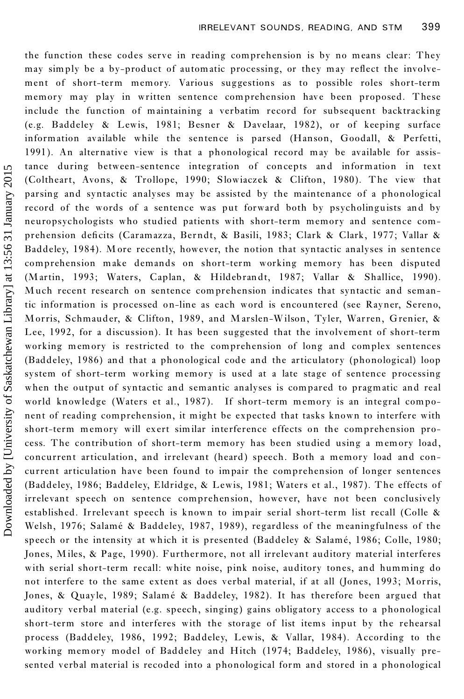the function these codes serve in reading comprehension is by no means clear: They may simply be a by-product of automatic processing, or they may reflect the involvement of short-term memory. Various suggestions as to possible roles short-term memory may play in written sentence comprehension have been proposed. These include the function of maintaining a verbatim record for subsequent backtracking (e.g. Baddeley & Lewis, 1981; Besner & Davelaar, 1982), or of keeping surface information available while the sentence is parsed (Hanson, Goodall, & Perfetti, 1991). An alternative view is that a phonological record may be available for assistance during between-sentence integration of concepts and information in text (Coltheart, Avons, & Trollope, 1990; Slowiaczek & Clifton, 1980). The view that parsing and syntactic analyses may be assisted by the maintenance of a phonological record of the words of a sentence was put forward both by psycholinguists and by neuropsychologists who studied patients with short-term memory and sentence com prehension deficits (Caramazza, Berndt, & Basili, 1983; Clark & Clark, 1977; Vallar & Baddeley, 1984). More recently, however, the notion that syntactic analyses in sentence comprehension make demands on short-term working memory has been disputed (M artin, 1993; Waters, Caplan, & Hildebrandt, 1987; Vallar & Shallice, 1990). Much recent research on sentence comprehension indicates that syntactic and semantic information is processed on-line as each word is encountered (see Rayner, Sereno, Morris, Schmauder, & Clifton, 1989, and M arslen-Wilson, Tyler, Warren, Grenier, & Lee, 1992, for a discussion). It has been suggested that the involvement of short-term working memory is restricted to the comprehension of long and complex sentences (Baddeley, 1986) and that a phonological code and the articulatory (phonological) loop system of short-term working memory is used at a late stage of sentence processing when the output of syntactic and semantic analyses is compared to pragmatic and real world knowledge (Waters et al., 1987). If short-term memory is an integral compo nent of reading comprehension, it might be expected that tasks known to interfere with short-term memory will exert similar interference effects on the comprehension process. The contribution of short-term memory has been studied using a memory load, concurrent articulation, and irrelevant (heard) speech. Both a memory load and concurrent articulation have been found to impair the comprehension of longer sentences (Baddeley, 1986; Baddeley, Eldridge, & Lewis, 1981; Waters et al., 1987). The effects of irrelevant speech on sentence comprehension, however, have not been conclusively established. Irrelevant speech is known to impair serial short-term list recall (Colle & Welsh, 1976; Salamé & Baddeley, 1987, 1989), regardless of the meaningfulness of the speech or the intensity at which it is presented (Baddeley & Salamé, 1986; Colle, 1980; Jones, Miles, & Page, 1990). Furthermore, not all irrelevant auditory material interferes with serial short-term recall: white noise, pink noise, auditory tones, and humming do not interfere to the same extent as does verbal material, if at all (Jones, 1993; Morris, Jones, & Quayle, 1989; Salamé & Baddeley, 1982). It has therefore been argued that auditory verbal material (e.g. speech, singing) gains obligatory access to a phonological short-term store and interferes with the storage of list items input by the rehearsal process (Baddeley, 1986, 1992; Baddeley, Lewis, & Vallar, 1984). According to the working memory model of Baddeley and Hitch (1974; Baddeley, 1986), visually presented verbal material is recoded into a phonological form and stored in a phonological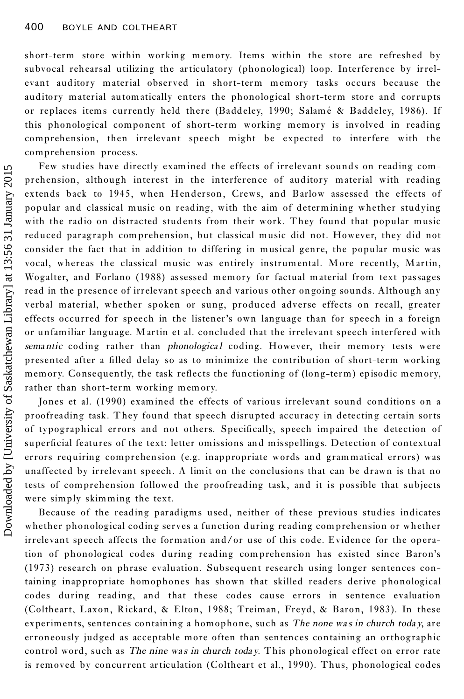short-term store within working memory. Items within the store are refreshed by subvocal rehearsal utilizing the articulatory (phonological) loop. Interference by irrelevant auditory material observed in short-term memory tasks occurs because the auditory material automatically enters the phonological short-term store and corrupts or replaces items currently held there (Baddeley, 1990; Salamé & Baddeley, 1986). If this phonological component of short-term working memory is involved in reading comprehension, then irrelevant speech might be expected to interfere with the comprehension process.

Few studies have directly examined the effects of irrelevant sounds on reading comprehension, although interest in the interference of auditory material with reading extends back to 1945, when Henderson, Crews, and Barlow assessed the effects of popular and classical music on reading, with the aim of determining whether studying with the radio on distracted students from their work. They found that popular music reduced paragraph comprehension, but classical music did not. However, they did not consider the fact that in addition to differing in musical genre, the popular music was vocal, whereas the classical music was entirely instrumental. More recently, Martin, Wogalter, and Forlano (1988) assessed memory for factual material from text passages read in the presence of irrelevant speech and various other ongoing sounds. Although any verbal material, whether spoken or sung, produced adverse effects on recall, greater effects occurred for speech in the listener's own language than for speech in a foreign or unfamiliar language. M artin et al. concluded that the irrelevant speech interfered with *sema ntic* coding rather than *phonologica l* coding. However, their memory tests were presented after a filled delay so as to minimize the contribution of short-term working memory. Consequently, the task reflects the functioning of (long-term) episodic memory, rather than short-term working memory.

Jones et al. (1990) examined the effects of various irrelevant sound conditions on a proofreading task. They found that speech disrupted accuracy in detecting certain sorts of typographical errors and not others. Specifically, speech impaired the detection of superficial features of the text: letter omissions and misspellings. Detection of contextual errors requiring comprehension (e.g. inappropriate words and grammatical errors) was unaffected by irrelevant speech. A limit on the conclusions that can be drawn is that no tests of comprehension followed the proofreading task, and it is possible that subjects were simply skimming the text.

Because of the reading paradigms used, neither of these previous studies indicates whether phonological coding serves a function during reading comprehension or whether irrelevant speech affects the formation and/or use of this code. Evidence for the operation of phonological codes during reading comprehension has existed since Baron's (1973) research on phrase evaluation. Subsequent research using longer sentences containing inappropriate homophones has shown that skilled readers derive phonological codes during reading, and that these codes cause errors in sentence evaluation (Coltheart, Laxon, Rickard, & Elton, 1988; Treiman, Freyd, & Baron, 1983). In these experiments, sentences containing a homophone, such as *The none wa s in church toda y*, are erroneously judged as acceptable more often than sentences containing an orthographic control word, such as *The nine wa s in church toda y*. This phonological effect on error rate is removed by concurrent articulation (Coltheart et al., 1990). Thus, phonological codes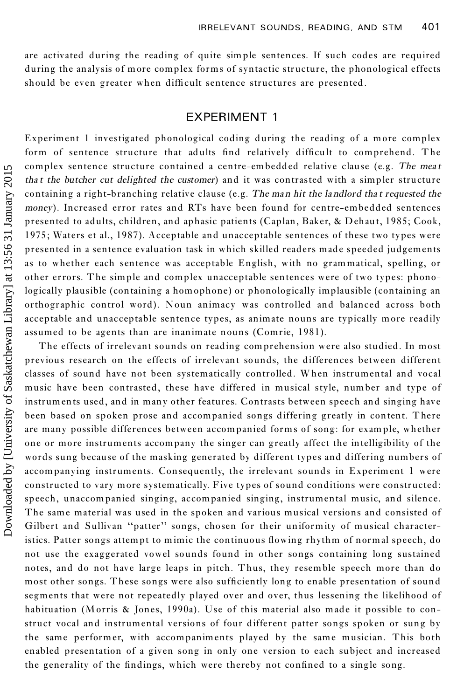are activated during the reading of quite simple sentences. If such codes are required during the analysis of more complex forms of syntactic structure, the phonological effects should be even greater when difficult sentence structures are presented.

# EXPERIMENT 1

Experiment 1 investigated phonological coding during the reading of a more complex form of sentence structure that adults find relatively difficult to comprehend. The complex sentence structure contained a centre-embedded relative clause (e.g. *The mea t tha t the butcher cut delighted the customer*) and it was contrasted with a simpler structure containing a right-branching relative clause (e.g. *The man hit the la ndlord tha t requested the money*). Increased error rates and RTs have been found for centre-embedded sentences presented to adults, children, and aphasic patients (Caplan, Baker, & Dehaut, 1985; Cook, 1975 ; Waters et al., 1987). Acceptable and unacceptable sentences of these two types were presented in a sentence evaluation task in which skilled readers made speeded judgements as to whether each sentence was acceptable English, with no grammatical, spelling, or other errors. The simple and complex unacceptable sentences were of two types: phonologically plausible (containing a homophone) or phonologically implausible (containing an orthogr aphic control word). Noun animacy was controlled and balanced across both acceptable and unacceptable sentence types, as animate nouns are typically more readily assumed to be agents than are inanimate nouns (Comrie, 1981).

The effects of irrelevant sounds on reading comprehension were also studied. In most previous research on the effects of irrelevant sounds, the differences between different classes of sound have not been systematically controlled. W hen instrumental and vocal music have been contrasted, these have differed in musical style, number and type of instruments used, and in many other features. Contrasts between speech and singing have been based on spoken prose and accompanied songs differing greatly in content. There are many possible differences between accompanied forms of song: for example, whether one or more instruments accompany the singer can greatly affect the intelligibility of the words sung because of the masking generated by different types and differing numbers of accompanying instruments. Consequently, the irrelevant sounds in Experiment 1 were constructed to vary more systematically. Five types of sound conditions were constructed: speech, unaccompanied singing, accompanied singing, instrumental music, and silence. The same material was used in the spoken and various musical versions and consisted of Gilbert and Sullivan "patter" songs, chosen for their uniformity of musical characteristics. Patter songs attempt to mimic the continuous flowing rhythm of normal speech, do not use the exaggerated vowel sounds found in other songs containing long sustained notes, and do not have large leaps in pitch. Thus, they resemble speech more than do most other songs. These songs were also sufficiently long to enable presentation of sound segments that were not repeatedly played over and over, thus lessening the likelihood of habituation (Morris & Jones, 1990a). Use of this material also made it possible to construct vocal and instrumental versions of four different patter songs spoken or sung by the same performer, with accompaniments played by the same musician. This both enabled presentation of a given song in only one version to each subject and increased the generality of the findings, which were thereby not confined to a single song.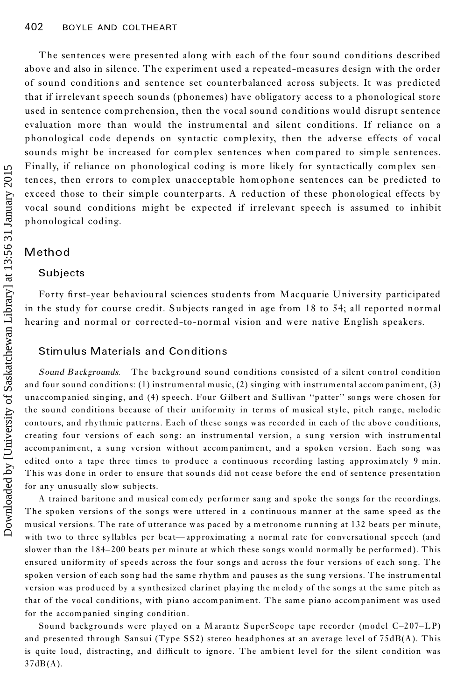The sentences were presented along with each of the four sound conditions described above and also in silence. The experiment used a repeated-measures design with the order of sound conditions and sentence set counterbalanced across subjects. It was predicted that if irrelevant speech sounds (phonemes) have obligatory access to a phonological store used in sentence comprehension, then the vocal sound conditions would disrupt sentence evaluation more than would the instrumental and silent conditions. If reliance on a phonological code depends on syntactic complexity, then the adverse effects of vocal sounds might be increased for complex sentences when compared to simple sentences. Finally, if reliance on phonological coding is more likely for syntactically complex sentences, then errors to complex unacceptable homophone sentences can be predicted to exceed those to their simple counterparts. A reduction of these phonological effects by vocal sound conditions might be expected if irrelevant speech is assumed to inhibit phonological coding.

### **Method**

### **Subjects**

Forty first-year behavioural sciences students from Macquarie University participated in the study for course credit. Subjects ranged in age from 18 to 54; all reported normal hearing and normal or corrected-to-normal vision and were native English speakers.

### Stimulus Materials and Conditions

*Sound Ba ckgrounds.* The backg round sound conditions consisted of a silent control condition and four sound conditions: (1) instrumental music, (2) singing with instrumental accom paniment, (3) unaccompanied singing, and (4) speech. Four Gilbert and Sullivan "patter" songs were chosen for the sound conditions because of their uniformity in terms of musical style, pitch range, melodic contours, and rhythmic patterns. Each of these songs was recorded in e ach of the above conditions, creating four versions of each song: an instrumental version, a sung version with instrumental accompaniment, a sung version without accompaniment, and a spoken version. Each song was edited onto a tape three times to produce a continuous recording lasting approximately 9 min. This was done in order to ensure that sounds did not cease before the end of sentence presentation for any unusually slow subjects.

A trained baritone and musical com edy performer sang and spoke the songs for the recordings. The spoken versions of the songs were uttered in a continuous manner at the same speed as the musical versions. The rate of utterance was paced by a metronome running at 132 beats per minute, with two to three syllables per beat—approximating a normal rate for conversational speech (and slower than the 184-200 beats per minute at which these songs would normally be performed). This ensured uniform ity of speeds across the four songs and across the four versions of each song. The spoken version of each song had the same rhythm and pause s as the sung versions. The instrumental version was produced by a synthesized clarinet playing the m elody of the songs at the same pitch as that of the vocal conditions, with piano accom paniment. The same piano accompaniment was used for the accompanied singing condition.

Sound backgrounds were played on a Marantz SuperScope tape recorder (model  $C-207-LP$ ) and presented through Sansui (Type SS2) stereo headphones at an average level of 75dB(A). This is quite loud, distracting, and difficult to ignore. The ambient level for the silent condition was  $37dB(A)$ .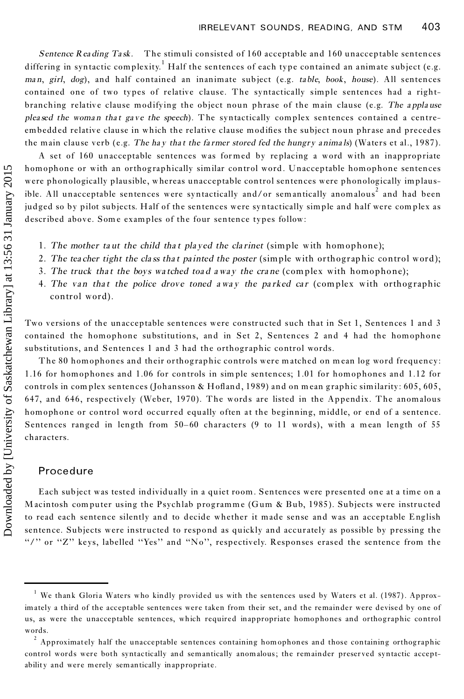*Sentence Rea ding Ta sk.* The stimuli consisted of 160 acceptable and 160 unacceptable sentences differing in syntactic complexity.<sup>1</sup> Half the sentences of each type contained an animate subject (e.g. *ma n*, *girl*, *dog*), and half contained an inanimate subject (e.g. *ta ble*, *book*, *house*). All sentences contained one of two types of relative clause. The syntactically simple sentences had a rightbranching relativ e clause modifying the object noun phrase of the main clause (e.g. *The a ppla use plea sed the woma n tha t ga v e the speech*). T he syntactically complex sentences contained a centreembedded relative clause in which the relative clause modifies the subject noun phrase and precedes the main clause verb (e.g. *The ha y tha t the fa rmer stored fed the hungry anima ls*) (Waters et al., 1987).

A set of 160 unacceptable sentences was formed by replacing a word with an inappropriate homophone or with an orthographically similar control word. Unacceptable homophone sentences were phonologically plausible, whereas unacceptable control sentences were phonologically implausible. All unacceptable sentences were syntactically and/or sem antically anomalous <sup>2</sup> and had been judged so by pilot subjects. Half of the sentences were syntactically simple and half were complex as described above. Some examples of the four sentence types follow:

- 1. *The mother ta ut the child tha t pla yed the cla rinet* (simple with homophone);
- 2. *The tea cher tight the cla ss tha t pa inted the poster* (simple with orthogr ap hic control word);
- 3. *The truck tha t the boys wa tched toa d awa y the cra ne* (complex with homophone);
- 4. *The van tha t the police drove toned awa y the pa rked ca r* (complex with orthog raphic control word).

Two versions of the unacceptable sentences were constructed such that in Set 1, Sentences 1 and 3 contained the homophone substitutions, and in Set 2, Sentences 2 and 4 had the homophone substitutions, and Sentences 1 and 3 had the orthographic control words.

The 80 homophones and their orthographic controls were matched on mean log word frequency: 1.16 for homophones and 1.06 for controls in sim ple sentences; 1.01 for homophones and 1.12 for controls in complex sentences (Johansson & Hofland, 1989) and on mean graphic similarity:  $605, 605$ , 647, and 646, respectively (Weber, 1970). The words are listed in the Appendix. The anomalous homophone or control word occurred equally often at the beginning, middle, or end of a sentence. Sentences ranged in length from  $50-60$  characters (9 to 11 words), with a mean length of  $55$ characters.

### Procedure

Each subject was tested individually in a quiet room. Sentences were presented one at a time on a Macintosh computer using the Psychlab programme (Gum & Bub, 1985). Subjects were instructed to read each sentence silently and to decide whether it made sense and was an acceptable English sentence. Subjects were instructed to respond as quickly and accurately as possible by pressing the "/" or "Z" keys, labelled "Yes" and "No", respectively. Responses erased the sentence from the

<sup>&</sup>lt;sup>1</sup> We thank Gloria Waters who kindly provided us with the sentences used by Waters et al. (1987). Approximately a third of the acceptable sentences were taken from their set, and the remainder were devised by one of us, as were the unacceptable sentences, which required inappropriate homophones and orthographic control words.

 $2$  Approximately half the unacceptable sentences containing homophones and those containing orthographic control words were both syntactically and semantically anomalous; the remainder preserved syntactic acceptability and were merely semantically inappropriate.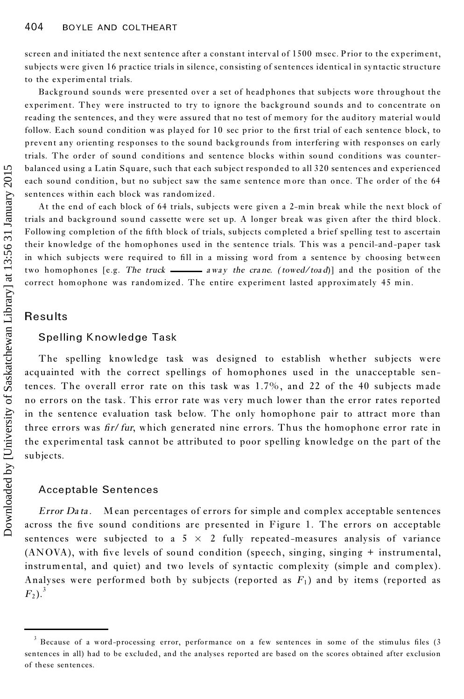screen and initiated the next sentence after a constant interval of 1500 msec. Prior to the experiment, subjects were given 16 practice trials in silence, consisting of sentences identical in syntactic structure to the experim ental trials.

Backg round sounds were presented over a set of headphones that subjects wore throughout the experiment. They were instructed to try to ignore the background sounds and to concentrate on reading the sentences, and they were assured that no test of memory for the auditory material would follow. Each sound condition was played for 10 sec prior to the first trial of each sentence block, to prevent any orienting responses to the sound backgrounds from interfering with responses on early trials. The order of sound conditions and sentence blocks within sound conditions was counter balanced using a Latin Square, such that each subject responded to all 320 sentences and experienced each sound condition, but no subject saw the same sentence more than once. The order of the 64 sentences within each block was randomized.

At the end of each block of 64 trials, subjects were given a 2-min break while the next block of trials and backg round sound c assette were set up. A longer break was given after the third block. Following completion of the fifth block of trials, subjects completed a brief spelling test to ascertain their knowledge of the hom ophones used in the sentence trials. This was a pencil-and-paper task in which subjects were required to fill in a missing word from a sentence by choosing between two homophones [e.g. *The truck*  $\frac{du}{dx}$  *away the crane. (towed/toad)*] and the position of the correct hom ophone was randomized. The entire experiment lasted approximately 45 min.

# Results

# Spelling Knowledge Task

The spelling knowledge task was designed to establish whether subjects were acquainted with the correct spellings of homophones used in the unacceptable sentences. The overall error rate on this task was 1.7%, and 22 of the 40 subjects made no errors on the task. This error rate was very much lower than the error rates reported in the sentence evaluation task below. The only homophone pair to attract more than three errors was *®r*/*fur*, which generated nine errors. Thus the homophone error rate in the experimental task cannot be attributed to poor spelling knowledge on the part of the subjects. balanced using a L<br>
each sound condit<br>
sentences within e<br>
At the end of c<br>
rails and backgro<br>
Following complet<br>
their knowledge o<br>
in which subjects<br>
two homophones<br>
correct homophones<br>
correct homophones<br>
correct homop

# Acceptable Sentences

*Error Da ta .* M ean percentages of errors for simple and complex acceptable sentences across the five sound conditions are presented in Figure 1. The errors on acceptable sentences were subjected to a  $5 \times 2$  fully repeated-measures analysis of variance  $(ANOVA)$ , with five levels of sound condition (speech, singing, singing + instrumental, instrumental, and quiet) and two levels of syntactic complexity (simple and complex). Analyses were performed both by subjects (reported as  $F_1$ ) and by items (reported as  $F_2$ ).<sup>3</sup>

 $3$  Because of a word-processing error, performance on a few sentences in some of the stimulus files (3 sentences in all) had to be excluded, and the analyses reported are based on the scores obtained after exclusion of these sentences.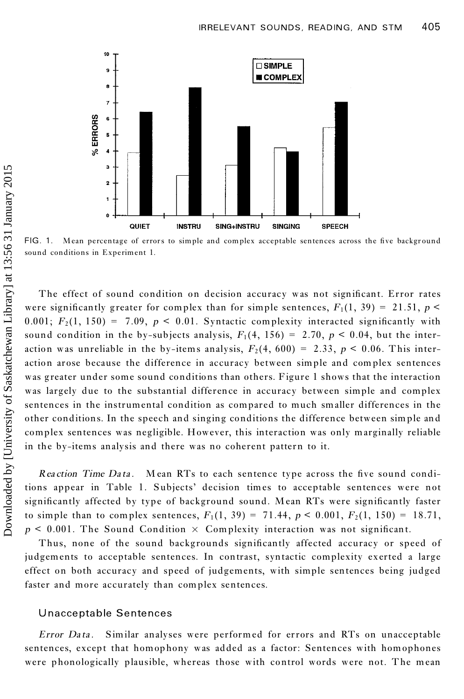

FIG. 1. Mean percentage of errors to simple and complex acceptable sentences across the five background sound conditions in Experiment 1.

The effect of sound condition on decision accuracy was not significant. Error rates were significantly greater for complex than for simple sentences,  $F_1(1, 39) = 21.51$ ,  $p \le$ 0.001;  $F_2(1, 150) = 7.09$ ,  $p < 0.01$ . Syntactic complexity interacted significantly with sound condition in the by-subjects analysis,  $F_1(4, 156) = 2.70$ ,  $p < 0.04$ , but the interaction was unreliable in the by-items analysis,  $F_2(4, 600) = 2.33$ ,  $p < 0.06$ . This interaction arose because the difference in accuracy between simple and complex sentences was greater under some sound conditions than others. Figure 1 shows that the interaction was largely due to the substantial difference in accuracy between simple and complex sentences in the instrumental condition as compared to much smaller differences in the other conditions. In the speech and singing conditions the difference between simple and complex sentences was negligible. However, this interaction was only marginally reliable in the by-items analysis and there was no coherent pattern to it.

*Reaction Time Data.* Mean RTs to each sentence type across the five sound conditions appear in Table 1. Subjects' decision times to acceptable sentences were not significantly affected by type of background sound. Mean RTs were significantly faster to simple than to complex sentences,  $F_1(1, 39) = 71.44$ ,  $p < 0.001$ ,  $F_2(1, 150) = 18.71$ ,  $p \leq 0.001$ . The Sound Condition  $\times$  Complexity interaction was not significant.

Thus, none of the sound backgrounds significantly affected accuracy or speed of judgements to acceptable sentences. In contrast, syntactic complexity exerted a large effect on both accuracy and speed of judgements, with simple sentences being judged faster and more accurately than complex sentences.

#### Unacceptable Sentences

*Error Da ta .*Similar analyses were performed for errors and RTs on unacceptable sentences, except that homophony was added as a factor: Sentences with homophones were phonologically plausible, whereas those with control words were not. The mean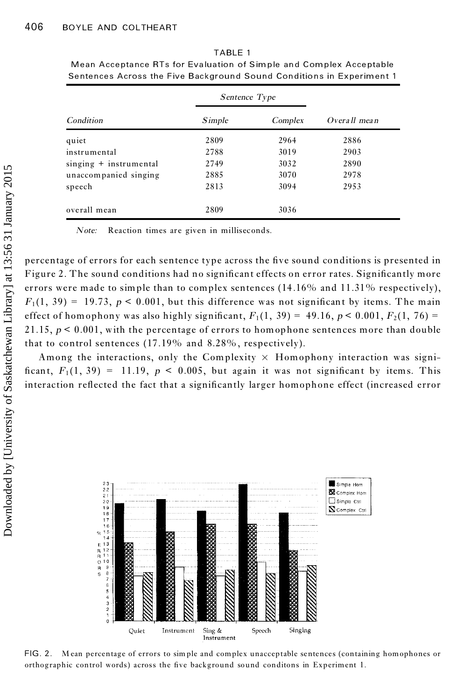|                          | Sentence Type |         |                |
|--------------------------|---------------|---------|----------------|
| Condition                | Simple        | Complex | $Overall$ mean |
| quiet                    | 2809          | 2964    | 2886           |
| instrumental             | 2788          | 3019    | 2903           |
| $singing + instrumental$ | 2749          | 3032    | 2890           |
| unaccompanied singing    | 2885          | 3070    | 2978           |
| speech                   | 2813          | 3094    | 2953           |
| overall mean             | 2809          | 3036    |                |

TABLE 1 Mean Acceptance RTs for Evaluation of Simple and Complex Acceptable Sentences Across the Five Background Sound Conditions in Experiment 1

*Note:* Reaction times are given in milliseconds.

percentage of errors for each sentence type across the five sound conditions is presented in Figure 2. The sound conditions had no significant effects on error rates. Significantly more errors were made to simple than to complex sentences  $(14.16\%$  and  $11.31\%$  respectively),  $F_1(1, 39) = 19.73$ ,  $p \le 0.001$ , but this difference was not significant by items. The main effect of homophony was also highly significant,  $F_1(1, 39) = 49.16$ ,  $p < 0.001$ ,  $F_2(1, 76) =$ 21.15,  $p < 0.001$ , with the percentage of errors to homophone sentences more than double that to control sentences (17.19% and 8.28% , respectively).

Among the interactions, only the Complexity  $\times$  Homophony interaction was significant,  $F_1(1, 39) = 11.19$ ,  $p < 0.005$ , but again it was not significant by items. This interaction reflected the fact that a significantly larger homophone effect (increased error



FIG. 2. M ean percentage of errors to simple and complex unacceptable sentences (containing homophones or orthographic control words) across the five background sound conditons in Experiment 1.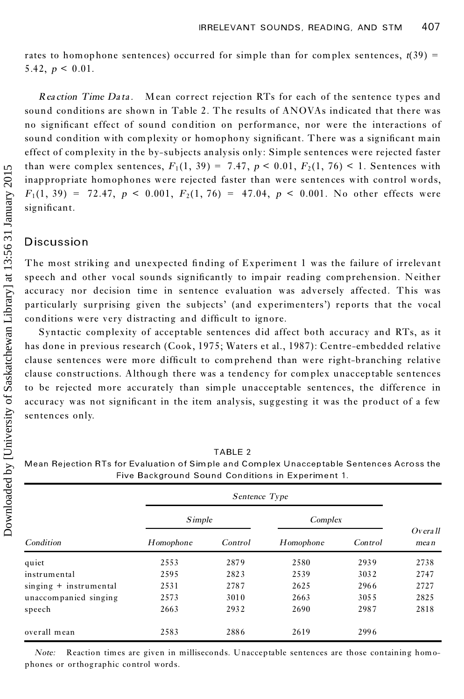rates to homophone sentences) occurred for simple than for complex sentences,  $t(39)$  = 5.42,  $p < 0.01$ .

*Rea ction Time Da ta .*Mean correct rejection RTs for each of the sentence types and sound conditions are shown in Table 2. The results of ANOVAs indicated that there was no significant effect of sound condition on performance, nor were the interactions of sound condition with complexity or homophony significant. There was a significant main effect of complexity in the by-subjects analysis only: Simple sentences were rejected faster than were complex sentences,  $F_1(1, 39) = 7.47$ ,  $p < 0.01$ ,  $F_2(1, 76) < 1$ . Sentences with inappropriate homophones were rejected faster than were sentences with control words,  $F_1(1, 39) = 72.47, p < 0.001, F_2(1, 76) = 47.04, p < 0.001$ . No other effects were significant.

# **Discussion**

The most striking and unexpected finding of Experiment 1 was the failure of irrelevant speech and other vocal sounds significantly to impair reading comprehension. Neither accuracy nor decision time in sentence evaluation was adversely affected. This was particularly surprising given the subjects' (and experimenters') reports that the vocal conditions were very distracting and difficult to ignore.

Syntactic complexity of acceptable sentences did affect both accuracy and RTs, as it has done in previous research (Cook, 1975; Waters et al., 1987): Centre-embedded relative clause sentences were more difficult to comprehend than were right-branching relative clause constructions. Although there was a tendency for complex unacceptable sentences to be rejected more accurately than simple unacceptable sentences, the difference in accuracy was not significant in the item analysis, suggesting it was the product of a few sentences only.

|                          | Simple    |         | Complex   |         |                      |
|--------------------------|-----------|---------|-----------|---------|----------------------|
| Condition                | Homophone | Control | Homophone | Control | $Ov$ era ll<br>mea n |
| quiet                    | 2553      | 2879    | 2580      | 2939    | 2738                 |
| instrumental             | 2595      | 2823    | 2539      | 3032    | 2747                 |
| $singing + instrumental$ | 2531      | 2787    | 2625      | 2966    | 2727                 |
| unaccompanied singing    | 2573      | 3010    | 2663      | 3055    | 2825                 |
| speech                   | 2663      | 2932    | 2690      | 2987    | 2818                 |
| overall mean             | 2583      | 2886    | 2619      | 2996    |                      |

TABLE 2 Mean Rejection RTs for Evaluation of Simple and Complex Unacceptable Sentences Across the Five Background Sound Conditions in Experiment 1.

*Note:* Reaction times are given in milliseconds. Unacceptable sentences are those containing homo phones or orthographic control words.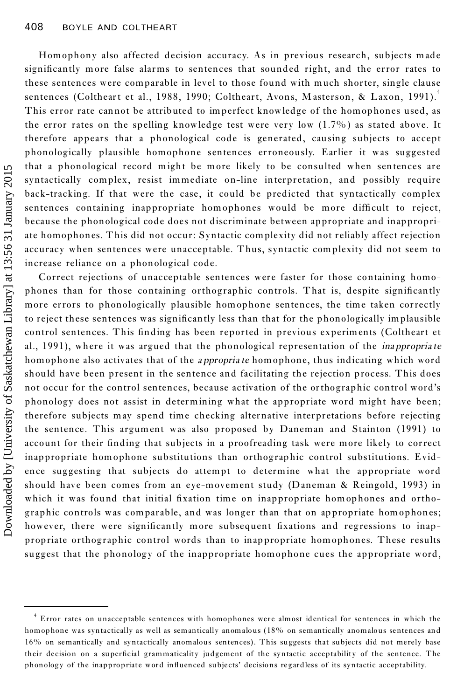Homophony also affected decision accuracy. As in previous research, subjects made significantly more false alarms to sentences that sounded right, and the error rates to these sentences were comparable in level to those found with much shorter, single clause sentences (Coltheart et al., 1988, 1990; Coltheart, Avons, Masterson, & Laxon, 1991).<sup>4</sup> This error rate cannot be attributed to imperfect knowledge of the homophones used, as the error rates on the spelling knowledge test were very low  $(1.7\%)$  as stated above. It therefore appears that a phonological code is generated, causing subjects to accept phonologically plausible homophone sentences erroneously. Earlier it was suggested that a phonological record might be more likely to be consulted when sentences are syntactically complex, resist immediate on-line interpretation, and possibly require back-tracking. If that were the case, it could be predicted that syntactically complex sentences containing inappropriate homophones would be more difficult to reject, because the phonological code does not discriminate between appropriate and inappropriate homophones. This did not occur: Syntactic complexity did not reliably affect rejection accuracy when sentences were unacceptable. Thus, syntactic complexity did not seem to increase reliance on a phonological code.

Correct rejections of unacceptable sentences were faster for those containing homo phones than for those containing orthographic controls. That is, despite significantly more errors to phonologically plausible homophone sentences, the time taken correctly to reject these sentences was significantly less than that for the phonologically implausible control sentences. This finding has been reported in previous experiments (Coltheart et al., 1991), where it was argued that the phonological representation of the *ina ppropria te* homophone also activates that of the *a ppropria te* homophone, thus indicating which word should have been present in the sentence and facilitating the rejection process. This does not occur for the control sentences, because activation of the orthographic control word's phonology does not assist in determining what the appropriate word might have been; therefore subjects may spend time checking alternative interpretations before rejecting the sentence. This argument was also proposed by Daneman and Stainton (1991) to account for their finding that subjects in a proofreading task were more likely to correct inappropriate homophone substitutions than orthographic control substitutions. Evidence suggesting that subjects do attempt to determine what the appropriate word should have been comes from an eye-movement study (Daneman & Reingold, 1993) in which it was found that initial fixation time on inappropriate homophones and orthographic controls was comparable, and was longer than that on appropriate homophones; however, there were significantly more subsequent fixations and regressions to inappropriate orthographic control words than to inappropriate homophones. These results suggest that the phonology of the inappropriate homophone cues the appropriate word, phonological record subsects in the more likely to be cannoted when estings. It is been tractically complex tractic accepts in the tractic syntactic accepts in the tractic syntactic accepts in the case in term of the synt

<sup>4</sup> Error rates on unacceptable sentences with homophones were almost identical for sentences in which the homophone was syntactically as well as semantically anomalous (18% on semantically anomalous sentences and 16% on semantically and syntactically anomalous sentences). This suggests that subjects did not me rely base their decision on a superficial grammaticality judgement of the syntactic acceptability of the sentence. The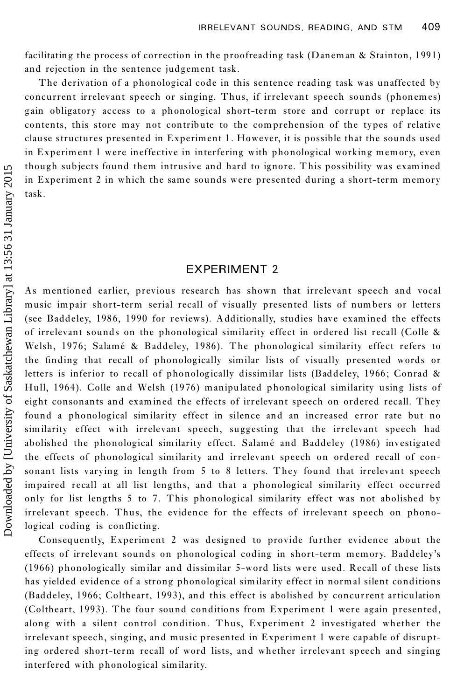facilitating the process of correction in the proofreading task (Daneman & Stainton, 1991) and rejection in the sentence judgement task.

The derivation of a phonological code in this sentence reading task was unaffected by concurrent irrelevant speech or singing. Thus, if irrelevant speech sounds (phonemes) gain obligatory access to a phonological short-term store and corrupt or replace its contents, this store may not contribute to the comprehension of the types of relative clause structures presented in Experiment 1. However, it is possible that the sounds used in Experiment 1 were ineffective in interfering with phonological working memory, even though subjects found them intrusive and hard to ignore. This possibility was examined in Experiment 2 in which the same sounds were presented during a short-term memory task.

# EXPERIMENT 2

As mentioned earlier, previous research has shown that irrelevant speech and vocal music impair short-term serial recall of visually presented lists of numbers or letters (see Baddeley, 1986, 1990 for reviews). Additionally, studies have examined the effects of irrelevant sounds on the phonological similarity effect in ordered list recall (Colle & Welsh, 1976; Salamé & Baddeley, 1986). The phonological similarity effect refers to the finding that recall of phonologically similar lists of visually presented words or letters is inferior to recall of phonologically dissimilar lists (Baddeley, 1966; Conrad & Hull, 1964). Colle and Welsh (1976) manipulated phonological similarity using lists of eight consonants and examined the effects of irrelevant speech on ordered recall. They found a phonological similarity effect in silence and an increased error rate but no similarity effect with irrelevant speech, suggesting that the irrelevant speech had abolished the phonological similarity effect. Salamé and Baddeley (1986) investigated the effects of phonological similarity and irrelevant speech on ordered recall of consonant lists varying in length from 5 to 8 letters. They found that irrelevant speech impaired recall at all list lengths, and that a phonological similarity effect occurred only for list lengths 5 to 7. This phonological similarity effect was not abolished by irrelevant speech. Thus, the evidence for the effects of irrelevant speech on phonological coding is conflicting.

Consequently, Experiment 2 was designed to provide further evidence about the effects of irrelevant sounds on phonological coding in short-term memory. Baddeley's (1966) phonologically similar and dissimilar 5-word lists were used. Recall of these lists has yielded evidence of a strong phonological similarity effect in normal silent conditions (Baddeley, 1966; Coltheart, 1993), and this effect is abolished by concurrent articulation (Coltheart, 1993). The four sound conditions from Experiment 1 were again presented, along with a silent control condition. Thus, Experiment 2 investigated whether the irrelevant speech, singing, and music presented in Experiment 1 were capable of disrupting ordered short-term recall of word lists, and whether irrelevant speech and singing interfered with phonological similarity.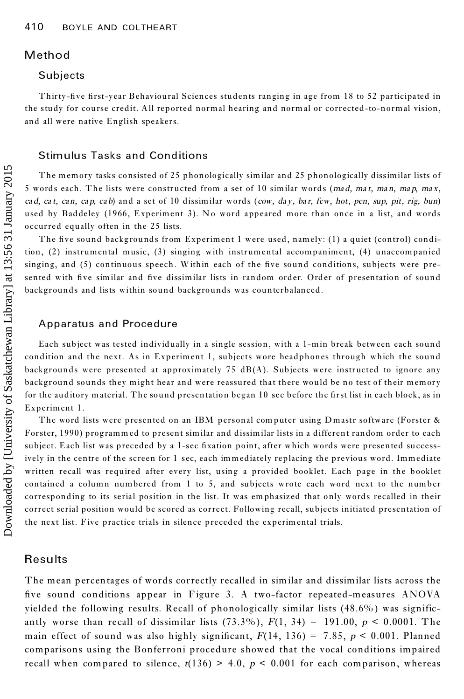### **Method**

#### Subjects

Thirty-five first-year Behavioural Sciences students ranging in age from 18 to 52 participated in the study for course credit. All reported normal hearing and normal or corrected-to-normal vision, and all were native English speakers.

### Stimulus Tasks and Conditions

The memory tasks consisted of 25 phonologically similar and 25 phonologically dissimilar lists of 5 words each. The lists were constructed from a set of 10 similar words (*mad, ma t, ma n, ma p, ma x,* cad, cat, can, cap, cab) and a set of 10 dissimilar words (cow, day, bar, few, hot, pen, sup, pit, rig, bun) used by Baddeley (1966, Experiment 3). No word appeared more than once in a list, and words occurred equally often in the 25 lists.

The five sound backgrounds from Experiment 1 were used, namely: (1) a quiet (control) condition, (2) instrumental music, (3) singing with instrumental accompaniment, (4) unaccompanied singing, and (5) continuous speech. Within each of the five sound conditions, subjects were presented with five similar and five dissimilar lists in random order. Order of presentation of sound backgrounds and lists within sound backgrounds was counterbalanced.

### Apparatus and Procedure

Each subject was tested individually in a single session, with a 1-min break between each sound condition and the next. As in Experiment 1, subjects wore headphones through which the sound backgrounds were presented at approximately 75 dB(A). Subjects were instructed to ignore any background sounds they might hear and were reassured that there would be no test of their memory for the auditory material. The sound presentation began 10 sec before the first list in each block, as in Experiment 1.

The word lists were presented on an IBM personal computer using D mastr software (Forster & Forster, 1990) programmed to present similar and dissimilar lists in a different random order to each subject. Each list was preceded by a 1-sec fixation point, after which words were presented successively in the centre of the screen for 1 sec, each immediately replacing the previous word. Immediate written recall was required after every list, using a provided booklet. Each page in the booklet contained a column numbered from 1 to 5, and subjects wrote each word next to the number corresponding to its serial position in the list. It was em phasiz ed that only words recalled in their correct serial position would be scored as correct. Following rec all, subjects initiated presentation of the next list. Five practice trials in silence preceded the experim ental trials.

### Results

The mean percentages of words correctly recalled in similar and dissimilar lists across the five sound conditions appear in Figure 3. A two-factor repeated-measures ANOVA yielded the following results. Recall of phonologically similar lists (48.6% ) was significantly worse than recall of dissimilar lists (73.3%),  $F(1, 34) = 191.00$ ,  $p < 0.0001$ . The main effect of sound was also highly significant,  $F(14, 136) = 7.85$ ,  $p < 0.001$ . Planned comparisons using the Bonferroni procedure showed that the vocal conditions impaired recall when compared to silence,  $t(136) > 4.0$ ,  $p < 0.001$  for each comparison, whereas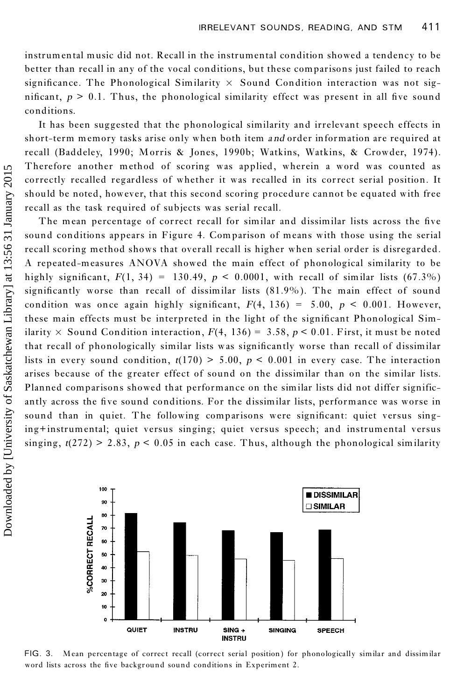instrumental music did not. Recall in the instrumental condition showed a tendency to be better than recall in any of the vocal conditions, but these comparisons just failed to reach significance. The Phonological Similarity  $\times$  Sound Condition interaction was not significant,  $p > 0.1$ . Thus, the phonological similarity effect was present in all five sound conditions.

It has been suggested that the phonological similarity and irrelevant speech effects in short-term memory tasks arise only when both item *a nd* order information are required at recall (Baddeley, 1990; Morris & Jones, 1990b; Watkins, Watkins, & Crowder, 1974). Therefore another method of scoring was applied, wherein a word was counted as correctly recalled regardless of whether it was recalled in its correct serial position. It should be noted, however, that this second scoring procedure cannot be equated with free recall as the task required of subjects was serial recall.

The mean percentage of correct recall for similar and dissimilar lists across the five sound conditions appears in Figure 4. Comparison of means with those using the serial recall scoring method shows that overall recall is higher when serial order is disregarded. A repeated-measures ANOVA showed the main effect of phonological similarity to be highly significant,  $F(1, 34) = 130.49$ ,  $p < 0.0001$ , with recall of similar lists (67.3%) significantly worse than recall of dissimilar lists  $(81.9\%)$ . The main effect of sound condition was once again highly significant,  $F(4, 136) = 5.00$ ,  $p < 0.001$ . However, these main effects must be interpreted in the light of the significant Phonological Similarity  $\times$  Sound Condition interaction,  $F(4, 136) = 3.58$ ,  $p < 0.01$ . First, it must be noted that recall of phonologically similar lists was significantly worse than recall of dissimilar lists in every sound condition,  $t(170) > 5.00$ ,  $p < 0.001$  in every case. The interaction arises because of the greater effect of sound on the dissimilar than on the similar lists. Planned comparisons showed that performance on the similar lists did not differ significantly across the five sound conditions. For the dissimilar lists, performance was worse in sound than in quiet. The following comparisons were significant: quiet versus singing+instrumental; quiet versus singing; quiet versus speech; and instrumental versus singing,  $t(272) > 2.83$ ,  $p < 0.05$  in each case. Thus, although the phonological similarity



FIG. 3. Mean percentage of correct recall (correct serial position) for phonologically similar and dissimilar word lists across the five background sound conditions in Experiment 2.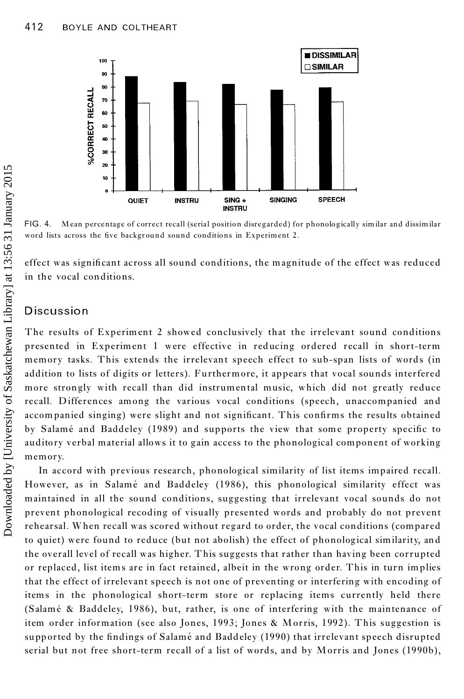

FIG. 4. Mean percentage of correct recall (serial position disregarded) for phonologically similar and dissimilar word lists across the five background sound conditions in Experiment 2.

effect was significant across all sound conditions, the magnitude of the effect was reduced in the vocal conditions.

# **Discussion**

The results of Experiment 2 showed conclusively that the irrelevant sound conditions presented in Experiment 1 were effective in reducing ordered recall in short-term memory tasks. This extends the irrelevant speech effect to sub-span lists of words (in addition to lists of digits or letters). Furthermore, it appears that vocal sounds interfered more strongly with recall than did instrumental music, which did not greatly reduce recall. Differences among the various vocal conditions (speech, unaccompanied and accompanied singing) were slight and not significant. This confirms the results obtained by Salamé and Baddeley (1989) and supports the view that some property specific to auditory verbal material allows it to gain access to the phonological component of working memory.

In accord with previous research, phonological similarity of list items impaired recall. However, as in Salamé and Baddeley (1986), this phonological similarity effect was maintained in all the sound conditions, suggesting that irrelevant vocal sounds do not prevent phonological recoding of visually presented words and probably do not prevent rehearsal. When recall was scored without regard to order, the vocal conditions (compared to quiet) were found to reduce (but not abolish) the effect of phonological similarity, and the overall level of recall was higher. This suggests that rather than having been corrupted or replaced, list items are in fact retained, albeit in the wrong order. This in turn implies that the effect of irrelevant speech is not one of preventing or interfering with encoding of items in the phonological short-term store or replacing items currently held there (Salamé & Baddeley, 1986), but, rather, is one of interfering with the maintenance of item order information (see also Jones, 1993; Jones & Morris, 1992). This suggestion is supported by the findings of Salamé and Baddeley (1990) that irrelevant speech disrupted serial but not free short-term recall of a list of words, and by Morris and Jones (1990b),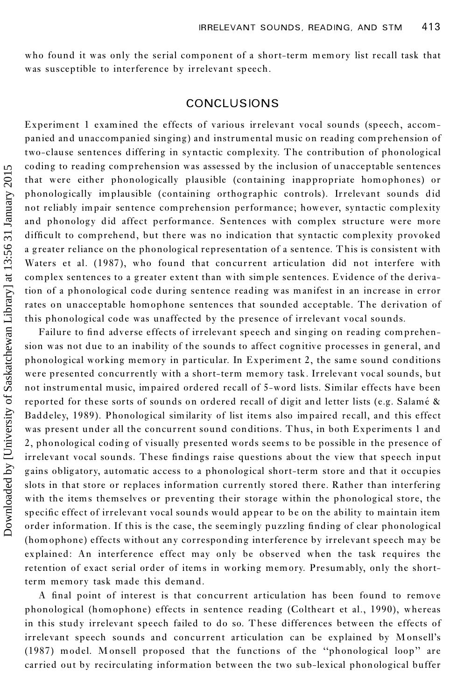who found it was only the serial component of a short-term memory list recall task that was susceptible to interference by irrelevant speech.

# CONCLUSIONS

Experiment 1 examined the effects of various irrelevant vocal sounds (speech, accom panied and unaccompanied singing) and instrumental music on reading comprehension of two-clause sentences differing in syntactic complexity. The contribution of phonological coding to reading comprehension was assessed by the inclusion of unacceptable sentences that were either phonologically plausible (containing inappropriate homophones) or phonologically implausible (containing orthographic controls). Irrelevant sounds did not reliably impair sentence comprehension performance; however, syntactic complexity and phonology did affect performance. Sentences with complex structure were more difficult to comprehend, but there was no indication that syntactic complexity provoked a greater reliance on the phonological representation of a sentence. This is consistent with Waters et al. (1987), who found that concurrent articulation did not interfere with complex sentences to a greater extent than with simple sentences. Evidence of the derivation of a phonological code during sentence reading was manifest in an increase in error rates on unacceptable homophone sentences that sounded acceptable. The derivation of this phonological code was unaffected by the presence of irrelevant vocal sounds.

Failure to find adverse effects of irrelevant speech and singing on reading comprehension was not due to an inability of the sounds to affect cognitive processes in general, and phonological working memory in particular. In Experiment 2, the same sound conditions were presented concurrently with a short-term memory task. Irrelevant vocal sounds, but not instrumental music, impaired ordered recall of 5-word lists. Similar effects have been reported for these sorts of sounds on ordered recall of digit and letter lists (e.g. Salamé & Baddeley, 1989). Phonological similarity of list items also impaired recall, and this effect was present under all the concurrent sound conditions. Thus, in both Experiments 1 and 2, phonological coding of visually presented words seems to be possible in the presence of irrelevant vocal sounds. These findings raise questions about the view that speech input gains obligatory, automatic access to a phonological short-term store and that it occupies slots in that store or replaces information currently stored there. Rather than interfering with the items themselves or preventing their storage within the phonological store, the specific effect of irrelevant vocal sounds would appear to be on the ability to maintain item order information. If this is the case, the seemingly puzzling finding of clear phonological (homophone) effects without any corresponding interference by irrelevant speech may be explained: An interference effect may only be observed when the task requires the retention of exact serial order of items in working memory. Presumably, only the shortterm memory task made this demand.

A final point of interest is that concurrent articulation has been found to remove phonological (homophone) effects in sentence reading (Coltheart et al., 1990), whereas in this study irrelevant speech failed to do so. These differences between the effects of irrelevant speech sounds and concurrent articulation can be explained by M onsell's (1987) model. Monsell proposed that the functions of the "phonological loop" are carried out by recirculating information between the two sub-lexical phonological buffer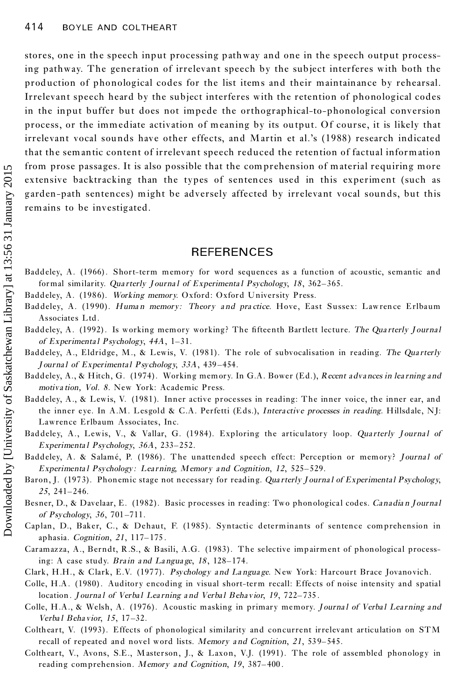stores, one in the speech input processing pathway and one in the speech output processing pathway. The generation of irrelevant speech by the subject interferes with both the production of phonological codes for the list items and their maintainance by rehearsal. Irrelevant speech heard by the subject interferes with the retention of phonological codes in the input buffer but does not impede the orthographical-to-phonological conversion process, or the immediate activation of meaning by its output. Of course, it is likely that irrelevant vocal sounds have other effects, and Martin et al.'s (1988) research indicated that the semantic content of irrelevant speech reduced the retention of factual information from prose passages. It is also possible that the comprehension of material requiring more extensive backtracking than the types of sentences used in this experiment (such as garden-path sentences) might be adversely affected by irrelevant vocal sounds, but this remains to be investigated.

# **REFERENCES**

- Baddeley, A. (1966). Short-term memory for word sequences as a function of acoustic, semantic and formal similarity. *Qua rterly J ourna l of Experimenta l Psychology*, *18* , 362±365.
- Baddeley, A. (1986). *Working memory*. Oxford: Oxford University Press.
- Baddeley, A. (1990). *Huma n memory: Theory a nd pra ctice*. Hove, East Sussex: Lawrence Erlbaum Associates Ltd.
- Baddeley, A. (1992). Is working memory working? The fifteenth Bartlett lecture. The Quarterly Journal *of Experimental Psychology*,  $44A$ ,  $1-31$ .
- Baddeley, A., Eldridge, M., & Lewis, V. (1981). The role of subvocalisation in reading. *The Qua rterly J ournal of Experimental Psychology*,  $33A$ ,  $439-454$ .
- Baddeley, A., & Hitch, G. (1974). Working memory. In G.A. Bower (Ed.), *Recent adva nces in lea rning and motiva tion, Vol. 8*. New York: Academic Press.
- Baddeley, A., & Lewis, V. (1981). Inner active processes in reading: The inner voice, the inner ear, and the inner eye. In A.M. Lesgold & C.A. Perfetti (Eds.), *Intera ctive processes in reading*. Hillsdale, NJ: Lawrence Erlbaum Associates, Inc.
- Baddeley, A., Lewis, V., & Vallar, G. (1984). Exploring the articulatory loop. *Qua rterly J ourna lof Experimental Psychology*, 36A, 233-252.
- Baddeley, A. & Salamé, P. (1986). The unattended speech effect: Perception or memory? *Journal of Experimenta l Psychology : Lea rning, Memory a nd Cognition*, *12*, 525±529.
- Baron, J. (1973). Phonemic stage not necessary for reading. *Qua rterly J ourna l of Experimenta lPsychology*, 25, 241-246.
- Besner, D., & Davelaar, E. (1982). Basic processes in reading: Two phonological codes. *Canadia n J ourna l of Psychology*, 36, 701-711.
- Caplan, D., Baker, C., & Dehaut, F. (1985). Syntactic determinants of sentence comprehension in aphasia. *Cognition*, 21, 117-175.
- Caramaz za, A., Berndt, R.S., & Basili, A.G. (1983). The selective impairment of phonological processing: A case study. *Brain and Language*,  $18$ ,  $128-174$ .
- Clark, H.H., & Clark, E.V. (1977). *Psychology a nd La ngua ge*. New York: Harcourt Brace Jovanovich.
- Colle, H.A. (1980). Auditory encoding in visual short-term recall: Effects of noise intensity and spatial location . *J ourna l of Verba l Lea rning a nd Verba l Behavior*, *19*, 722±735 .
- Colle, H.A., & Welsh, A. (1976). Acoustic masking in primary memory. *J ourna lof Verba lLea rning and Verba l Beha vior*, *15*, 17±32.
- Coltheart, V. (1993). Effects of phonological similarity and concurrent irrelevant articulation on STM recall of repeated and novel word lists. *Memory* and *Cognition*, 21, 539-545.
- Coltheart, V., Avons, S.E., M asterson, J., & Laxon, V.J. (1991). The role of assembled phonology in reading comprehension. *Memory* and *Cognition*, 19, 387-400.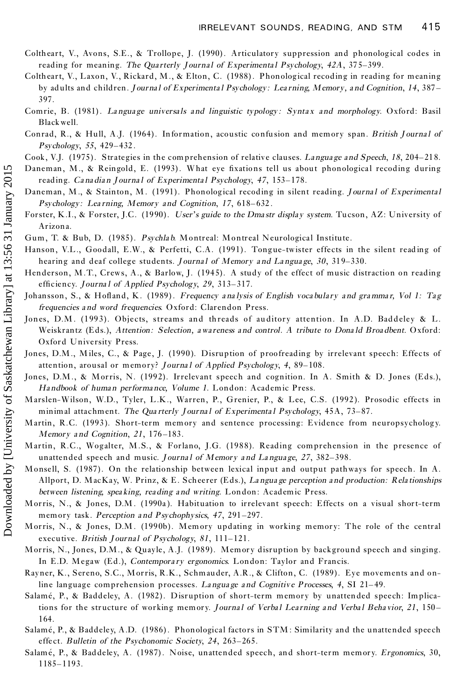- Coltheart, V., Avons, S.E., & Trollope, J. (1990). Articulatory suppression and phonological codes in reading for meaning. *The Qua rterly J ourna lof Experimenta lPsychology*, *42A*, 37 5±399.
- Coltheart, V., Laxon, V., Rickard, M., & Elton, C. (1988). Phonological recoding in reading for meaning by adults and children. *J ourna l of Experimenta l Psychology: Lea rning, Memory, a nd Cognition*, *14*, 387 ± 397.
- Comrie, B. (1981). *La ngua ge universa ls and linguistic typology : Synta x and morphology*. Oxford: Basil Blackwell.
- Conrad, R., & Hull, A.J. (1964). Information, acoustic confusion and memory span. *British Journal of Psychology*, 55, 429-432.
- Cook, V.J. (1975). Strategies in the comprehension of relative clauses. *Language* and Speech, 18, 204–218.
- Daneman, M., & Reingold, E. (1993). What eye fixations tell us about phonological recoding during reading. *Canadian Journal of Experimental Psychology*, 47, 153-178.
- Daneman, M ., & Stainton, M . (1991). Phonological recoding in silent reading. *J ourna lof Experimenta l Psychology: Learning, Memory and Cognition, 17, 618-632.*
- Forster, K.I., & Forster, J.C. (1990). *User' s guide to the Dma str display system*. Tucson, AZ: University of Arizona.
- Gum, T. & Bub, D. (1985). *Psychla b*. Montreal: Montreal Neurological Institute.
- Hanson, V.L., Goodall, E.W., & Perfetti, C.A. (1991). Tongue-twister effects in the silent read ing of hearing and deaf college students. *Journal of Memory and Language*, 30, 319-330.
- Henderson, M.T., Crews, A., & Barlow, J. (1945). A study of the effect of music distraction on reading efficiency. *Journal of Applied Psychology*, 29, 313-317.
- Johansson, S., & Hofland, K. (1989). Frequency analysis of English vocabulary and grammar, Vol 1: Tag *frequencies a nd word frequencies*. Oxford: Clarendon Press.
- Jones, D.M. (1993). Objects, streams and threads of auditory attention. In A.D. Baddeley & L. Weiskrantz (Eds.), *Attention: Selection, awa reness a nd control. A tribute to Dona ld Broa dbent*. Oxford: Oxford University Press.
- Jones, D.M., M iles, C., & Page, J. (1990). Disruption of proofreading by irrelevant speech: Effects of attention, arousal or memory? *Journal of Applied Psychology*, 4, 89-108.
- Jones, D.M., & Morris, N. (1992). Irrelevant speech and cognition. In A. Smith & D. Jones (Eds.), *Ha ndbook of huma n performa nce, Volume 1*. London: Academic Press.
- Marslen-Wilson, W.D., Tyler, L.K., Warren, P., Grenier, P., & Lee, C.S. (1992). Prosodic effects in minimal attachment. *The Qua rterly J ourna lof Experimenta lPsychology*, 45A, 73±87.
- Martin, R.C. (1993). Short-term memory and sentence processing: Evidence from neuropsychology. *Memory and Cognition*, 21, 176-183.
- Martin, R.C., Wogalter, M.S., & Forlano, J.G. (1988). Reading comprehension in the presence of unattended speech and music. *J ourna l of Memory a nd La ngua ge*, *27*, 382±398.
- Monsell, S. (1987). On the relationship between lexical input and output pathways for speech. In A. Allport, D. MacKay, W. Prinz, & E. Scheerer (Eds.), *La ngua ge perception a nd production: Rela tionships between listening, spea king, reading a nd writing*. London: Academic Press.
- Morris, N., & Jones, D.M . (1990a ). Habituation to irrelevant speech: Effects on a visual short-term memory task. *Perception* and *Psychophysics*, 47, 291-297.
- Morris, N., & Jones, D.M . (1990b). Memory updating in working memory: The role of the central executive. *British J ourna l of Psychology*, *81*, 111±121.
- Morris, N., Jones, D.M., & Quayle, A.J. (1989). Memory disruption by background speech and singing. In E.D. Megaw (Ed.), *Contempora ry ergonomics*. London: Taylor and Francis.
- Rayner, K., Sereno, S.C., Morris, R.K., Schmauder, A.R., & Clifton, C. (1989). Eye movements and online language comprehension processes. *Language and Cognitive Processes*, 4, SI 21–49.
- Salamé, P., & Baddeley, A. (1982). Disruption of short-term memory by unattended speech: Implications for the structure of working memory. *Journal of Verbal Learning and Verbal Behavior*, 21, 150– 164.
- Salamé, P., & Baddeley, A.D. (1986). Phonological factors in STM: Similarity and the unattended speech effect. *Bulletin of* the *Psychonomic Society*, 24, 263-265.
- Salamé, P., & Baddeley, A. (1987). Noise, unattended speech, and short-term memory. *Ergonomics*, 30, 1185± 1193.